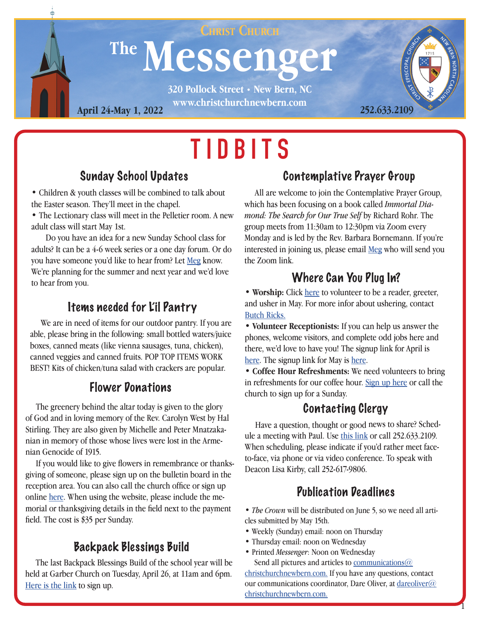

# **TIDBITS**

#### Sunday School Updates

• Children & youth classes will be combined to talk about the Easter season. They'll meet in the chapel.

• The Lectionary class will meet in the Pelletier room. A new adult class will start May 1st.

 Do you have an idea for a new Sunday School class for adults? It can be a 4-6 week series or a one day forum. Or do you have someone you'd like to hear from? Let [Meg](mailto:megjones%40christchurchnewbern.com?subject=) know. We're planning for the summer and next year and we'd love to hear from you.

#### Items needed for L'il Pantry

 We are in need of items for our outdoor pantry. If you are able, please bring in the following: small bottled waters/juice boxes, canned meats (like vienna sausages, tuna, chicken), canned veggies and canned fruits. POP TOP ITEMS WORK BEST! Kits of chicken/tuna salad with crackers are popular.

 The greenery behind the altar today is given to the glory of God and in loving memory of the Rev. Carolyn West by Hal Stirling. They are also given by Michelle and Peter Mnatzakanian in memory of those whose lives were lost in the Armenian Genocide of 1915.

 If you would like to give flowers in remembrance or thanksgiving of someone, please sign up on the bulletin board in the reception area. You can also call the church office or sign up online [here](http://www.christchurchnewbern.com/give). When using the website, please include the memorial or thanksgiving details in the field next to the payment field. The cost is \$35 per Sunday.

#### Backpack Blessings Build

 The last Backpack Blessings Build of the school year will be held at Garber Church on Tuesday, April 26, at 11am and 6pm. [Here is the link](https://www.signupgenius.com/go/4090D4BA9AB2AA0FD0-backpack11) to sign up.

#### Contemplative Prayer Group

All are welcome to join the Contemplative Prayer Group, which has been focusing on a book called *Immortal Diamond: The Search for Our True Self* by Richard Rohr. The group meets from 11:30am to 12:30pm via Zoom every Monday and is led by the Rev. Barbara Bornemann. If you're interested in joining us, please email [Meg](mailto:Megjones%40christchurchnewbern.com?subject=) who will send you the Zoom link.

### Where Can You Plug In?

• **Worship:** Click [here](https://www.signupgenius.com/go/409094daea928abff2-may2022) to volunteer to be a reader, greeter, and usher in May. For more infor about ushering, contact Butch Ricks.

• **Volunteer Receptionists:** If you can help us answer the phones, welcome visitors, and complete odd jobs here and there, we'd love to have you! The signup link for April is [here](https://www.signupgenius.com/go/409094daea928abff2-march11). The signup link for May is [here.](https://www.signupgenius.com/go/409094daea928abff2-may20221)

• **Coffee Hour Refreshments:** We need volunteers to bring in refreshments for our coffee hour. [Sign up here](https://www.signupgenius.com/go/5080f4fa5ab2fabfa7-sunday) or call the **Flower Donations**<br>church to sign up for a Sunday.

#### Contacting Clergy

 Have a question, thought or good news to share? Schedule a meeting with Paul. Use [this link](https://calendly.com/paulcanady/) or call 252.633.2109. When scheduling, please indicate if you'd rather meet faceto-face, via phone or via video conference. To speak with Deacon Lisa Kirby, call 252-617-9806.

#### Publication Deadlines

• *The Crown* will be distributed on June 5, so we need all articles submitted by May 15th.

- Weekly (Sunday) email: noon on Thursday
- Thursday email: noon on Wednesday
- Printed *Messenger*: Noon on Wednesday Send all pictures and articles to communications  $@$

[christchurchnewbern.com.](mailto:communications%40christchurchnewbern.com?subject=) If you have any questions, contact our communications coordinator, Dare Oliver, at dareoliver $\omega$ [christchurchnewbern.com.](mailto:dareoliver%40christchurchnewbern.com?subject=)

1